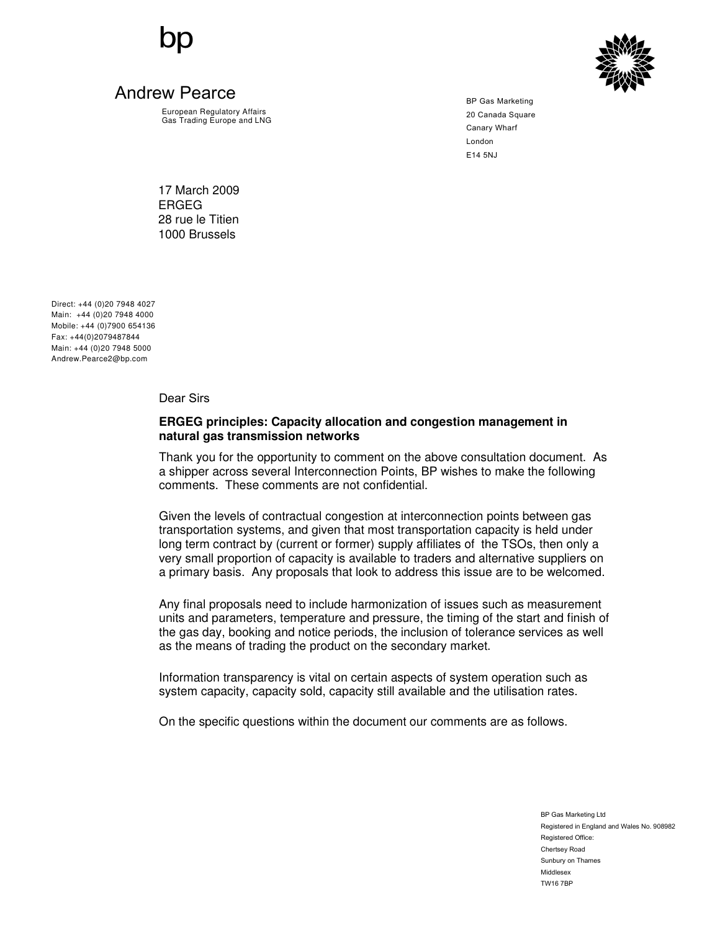

European Regulatory Affairs Gas Trading Europe and LNG



BP Gas Marketing 20 Canada Square Canary Wharf London E14 5NJ

17 March 2009 ERGEG 28 rue le Titien 1000 Brussels

Direct: +44 (0)20 7948 4027 Main: +44 (0)20 7948 4000 Mobile: +44 (0)7900 654136 Fax: +44(0)2079487844 Main: +44 (0)20 7948 5000 Andrew.Pearce2@bp.com

Dear Sirs

# **ERGEG principles: Capacity allocation and congestion management in natural gas transmission networks**

Thank you for the opportunity to comment on the above consultation document. As a shipper across several Interconnection Points, BP wishes to make the following comments. These comments are not confidential.

Given the levels of contractual congestion at interconnection points between gas transportation systems, and given that most transportation capacity is held under long term contract by (current or former) supply affiliates of the TSOs, then only a very small proportion of capacity is available to traders and alternative suppliers on a primary basis. Any proposals that look to address this issue are to be welcomed.

Any final proposals need to include harmonization of issues such as measurement units and parameters, temperature and pressure, the timing of the start and finish of the gas day, booking and notice periods, the inclusion of tolerance services as well as the means of trading the product on the secondary market.

Information transparency is vital on certain aspects of system operation such as system capacity, capacity sold, capacity still available and the utilisation rates.

On the specific questions within the document our comments are as follows.

BP Gas Marketing Ltd Registered in England and Wales No. 908982 Registered Office: Chertsey Road Sunbury on Thames Middlesex TW16 7BP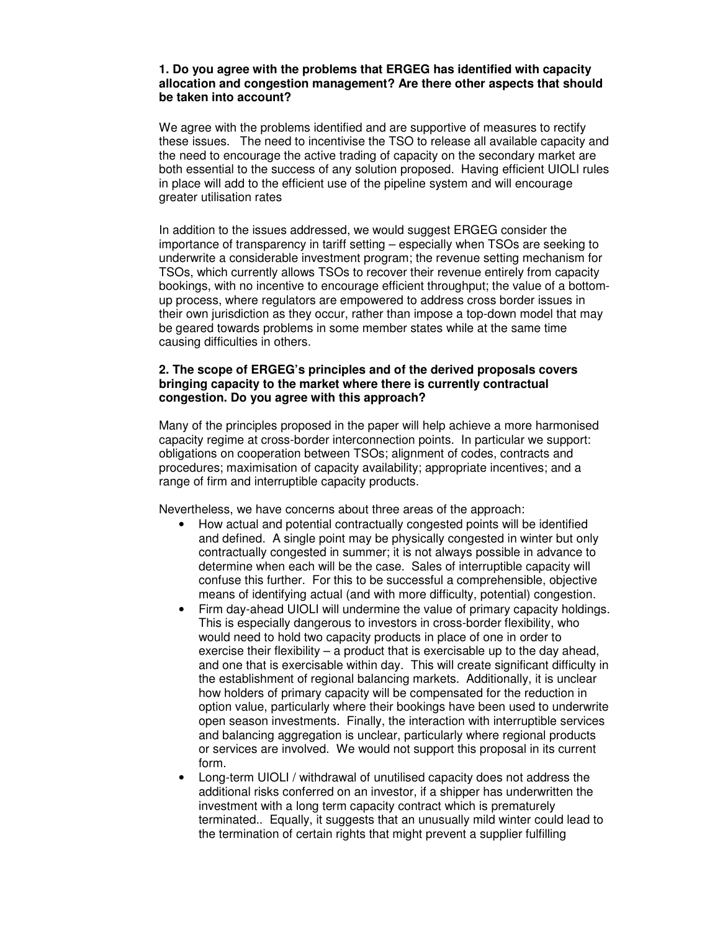## **1. Do you agree with the problems that ERGEG has identified with capacity allocation and congestion management? Are there other aspects that should be taken into account?**

We agree with the problems identified and are supportive of measures to rectify these issues. The need to incentivise the TSO to release all available capacity and the need to encourage the active trading of capacity on the secondary market are both essential to the success of any solution proposed. Having efficient UIOLI rules in place will add to the efficient use of the pipeline system and will encourage greater utilisation rates

In addition to the issues addressed, we would suggest ERGEG consider the importance of transparency in tariff setting – especially when TSOs are seeking to underwrite a considerable investment program; the revenue setting mechanism for TSOs, which currently allows TSOs to recover their revenue entirely from capacity bookings, with no incentive to encourage efficient throughput; the value of a bottomup process, where regulators are empowered to address cross border issues in their own jurisdiction as they occur, rather than impose a top-down model that may be geared towards problems in some member states while at the same time causing difficulties in others.

# **2. The scope of ERGEG's principles and of the derived proposals covers bringing capacity to the market where there is currently contractual congestion. Do you agree with this approach?**

Many of the principles proposed in the paper will help achieve a more harmonised capacity regime at cross-border interconnection points. In particular we support: obligations on cooperation between TSOs; alignment of codes, contracts and procedures; maximisation of capacity availability; appropriate incentives; and a range of firm and interruptible capacity products.

Nevertheless, we have concerns about three areas of the approach:

- How actual and potential contractually congested points will be identified and defined. A single point may be physically congested in winter but only contractually congested in summer; it is not always possible in advance to determine when each will be the case. Sales of interruptible capacity will confuse this further. For this to be successful a comprehensible, objective means of identifying actual (and with more difficulty, potential) congestion.
- Firm day-ahead UIOLI will undermine the value of primary capacity holdings. This is especially dangerous to investors in cross-border flexibility, who would need to hold two capacity products in place of one in order to exercise their flexibility – a product that is exercisable up to the day ahead, and one that is exercisable within day. This will create significant difficulty in the establishment of regional balancing markets. Additionally, it is unclear how holders of primary capacity will be compensated for the reduction in option value, particularly where their bookings have been used to underwrite open season investments. Finally, the interaction with interruptible services and balancing aggregation is unclear, particularly where regional products or services are involved. We would not support this proposal in its current form.
- Long-term UIOLI / withdrawal of unutilised capacity does not address the additional risks conferred on an investor, if a shipper has underwritten the investment with a long term capacity contract which is prematurely terminated.. Equally, it suggests that an unusually mild winter could lead to the termination of certain rights that might prevent a supplier fulfilling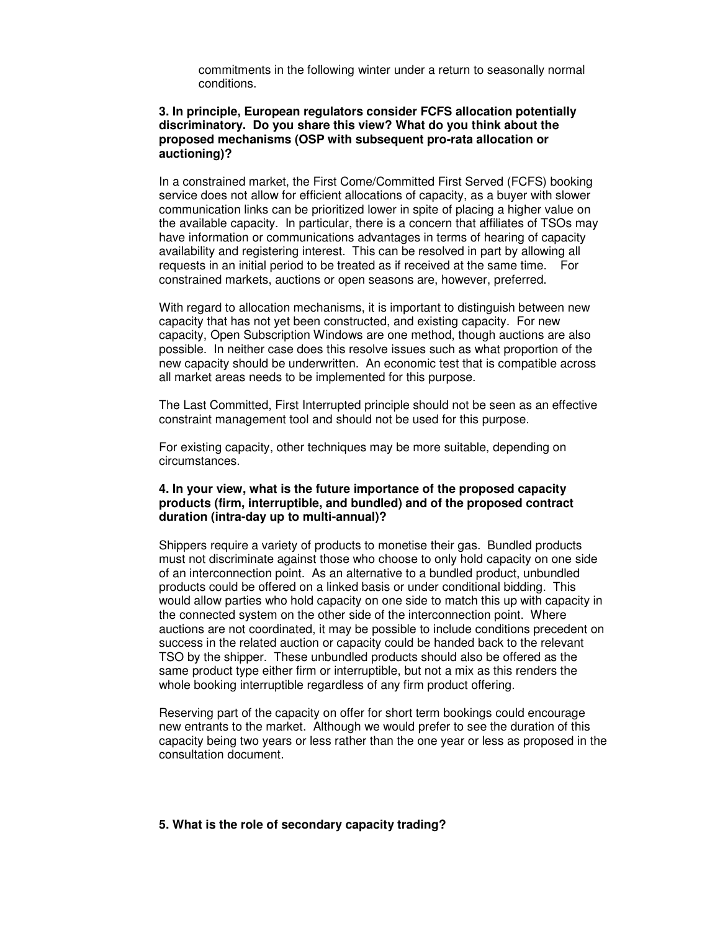commitments in the following winter under a return to seasonally normal conditions.

# **3. In principle, European regulators consider FCFS allocation potentially discriminatory. Do you share this view? What do you think about the proposed mechanisms (OSP with subsequent pro-rata allocation or auctioning)?**

In a constrained market, the First Come/Committed First Served (FCFS) booking service does not allow for efficient allocations of capacity, as a buyer with slower communication links can be prioritized lower in spite of placing a higher value on the available capacity. In particular, there is a concern that affiliates of TSOs may have information or communications advantages in terms of hearing of capacity availability and registering interest. This can be resolved in part by allowing all requests in an initial period to be treated as if received at the same time. For constrained markets, auctions or open seasons are, however, preferred.

With regard to allocation mechanisms, it is important to distinguish between new capacity that has not yet been constructed, and existing capacity. For new capacity, Open Subscription Windows are one method, though auctions are also possible. In neither case does this resolve issues such as what proportion of the new capacity should be underwritten. An economic test that is compatible across all market areas needs to be implemented for this purpose.

The Last Committed, First Interrupted principle should not be seen as an effective constraint management tool and should not be used for this purpose.

For existing capacity, other techniques may be more suitable, depending on circumstances.

# **4. In your view, what is the future importance of the proposed capacity products (firm, interruptible, and bundled) and of the proposed contract duration (intra-day up to multi-annual)?**

Shippers require a variety of products to monetise their gas. Bundled products must not discriminate against those who choose to only hold capacity on one side of an interconnection point. As an alternative to a bundled product, unbundled products could be offered on a linked basis or under conditional bidding. This would allow parties who hold capacity on one side to match this up with capacity in the connected system on the other side of the interconnection point. Where auctions are not coordinated, it may be possible to include conditions precedent on success in the related auction or capacity could be handed back to the relevant TSO by the shipper. These unbundled products should also be offered as the same product type either firm or interruptible, but not a mix as this renders the whole booking interruptible regardless of any firm product offering.

Reserving part of the capacity on offer for short term bookings could encourage new entrants to the market. Although we would prefer to see the duration of this capacity being two years or less rather than the one year or less as proposed in the consultation document.

## **5. What is the role of secondary capacity trading?**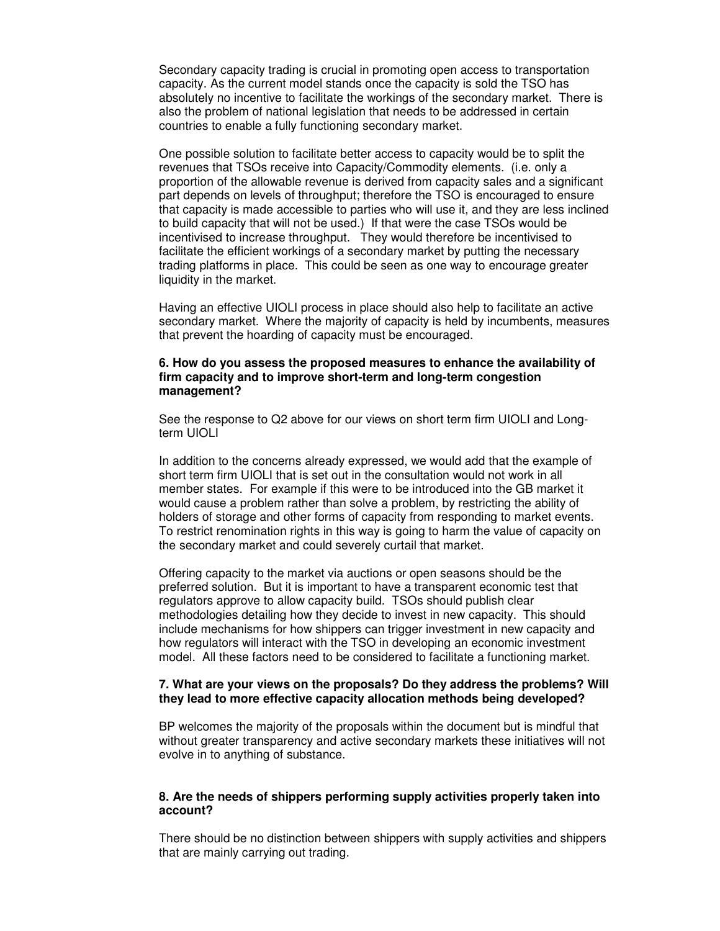Secondary capacity trading is crucial in promoting open access to transportation capacity. As the current model stands once the capacity is sold the TSO has absolutely no incentive to facilitate the workings of the secondary market. There is also the problem of national legislation that needs to be addressed in certain countries to enable a fully functioning secondary market.

One possible solution to facilitate better access to capacity would be to split the revenues that TSOs receive into Capacity/Commodity elements. (i.e. only a proportion of the allowable revenue is derived from capacity sales and a significant part depends on levels of throughput; therefore the TSO is encouraged to ensure that capacity is made accessible to parties who will use it, and they are less inclined to build capacity that will not be used.) If that were the case TSOs would be incentivised to increase throughput. They would therefore be incentivised to facilitate the efficient workings of a secondary market by putting the necessary trading platforms in place. This could be seen as one way to encourage greater liquidity in the market.

Having an effective UIOLI process in place should also help to facilitate an active secondary market. Where the majority of capacity is held by incumbents, measures that prevent the hoarding of capacity must be encouraged.

#### **6. How do you assess the proposed measures to enhance the availability of firm capacity and to improve short-term and long-term congestion management?**

See the response to Q2 above for our views on short term firm UIOLI and Longterm UIOLI

In addition to the concerns already expressed, we would add that the example of short term firm UIOLI that is set out in the consultation would not work in all member states. For example if this were to be introduced into the GB market it would cause a problem rather than solve a problem, by restricting the ability of holders of storage and other forms of capacity from responding to market events. To restrict renomination rights in this way is going to harm the value of capacity on the secondary market and could severely curtail that market.

Offering capacity to the market via auctions or open seasons should be the preferred solution. But it is important to have a transparent economic test that regulators approve to allow capacity build. TSOs should publish clear methodologies detailing how they decide to invest in new capacity. This should include mechanisms for how shippers can trigger investment in new capacity and how regulators will interact with the TSO in developing an economic investment model. All these factors need to be considered to facilitate a functioning market.

## **7. What are your views on the proposals? Do they address the problems? Will they lead to more effective capacity allocation methods being developed?**

BP welcomes the majority of the proposals within the document but is mindful that without greater transparency and active secondary markets these initiatives will not evolve in to anything of substance.

## **8. Are the needs of shippers performing supply activities properly taken into account?**

There should be no distinction between shippers with supply activities and shippers that are mainly carrying out trading.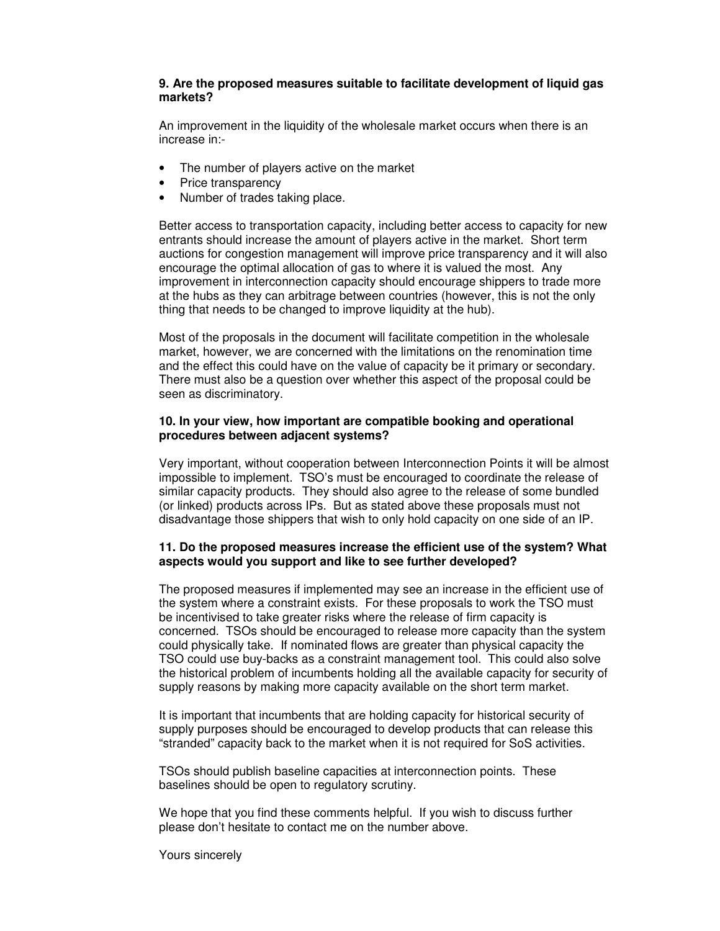# **9. Are the proposed measures suitable to facilitate development of liquid gas markets?**

An improvement in the liquidity of the wholesale market occurs when there is an increase in:-

- The number of players active on the market
- Price transparency
- Number of trades taking place.

Better access to transportation capacity, including better access to capacity for new entrants should increase the amount of players active in the market. Short term auctions for congestion management will improve price transparency and it will also encourage the optimal allocation of gas to where it is valued the most. Any improvement in interconnection capacity should encourage shippers to trade more at the hubs as they can arbitrage between countries (however, this is not the only thing that needs to be changed to improve liquidity at the hub).

Most of the proposals in the document will facilitate competition in the wholesale market, however, we are concerned with the limitations on the renomination time and the effect this could have on the value of capacity be it primary or secondary. There must also be a question over whether this aspect of the proposal could be seen as discriminatory.

# **10. In your view, how important are compatible booking and operational procedures between adjacent systems?**

Very important, without cooperation between Interconnection Points it will be almost impossible to implement. TSO's must be encouraged to coordinate the release of similar capacity products. They should also agree to the release of some bundled (or linked) products across IPs. But as stated above these proposals must not disadvantage those shippers that wish to only hold capacity on one side of an IP.

# **11. Do the proposed measures increase the efficient use of the system? What aspects would you support and like to see further developed?**

The proposed measures if implemented may see an increase in the efficient use of the system where a constraint exists. For these proposals to work the TSO must be incentivised to take greater risks where the release of firm capacity is concerned. TSOs should be encouraged to release more capacity than the system could physically take. If nominated flows are greater than physical capacity the TSO could use buy-backs as a constraint management tool. This could also solve the historical problem of incumbents holding all the available capacity for security of supply reasons by making more capacity available on the short term market.

It is important that incumbents that are holding capacity for historical security of supply purposes should be encouraged to develop products that can release this "stranded" capacity back to the market when it is not required for SoS activities.

TSOs should publish baseline capacities at interconnection points. These baselines should be open to regulatory scrutiny.

We hope that you find these comments helpful. If you wish to discuss further please don't hesitate to contact me on the number above.

Yours sincerely